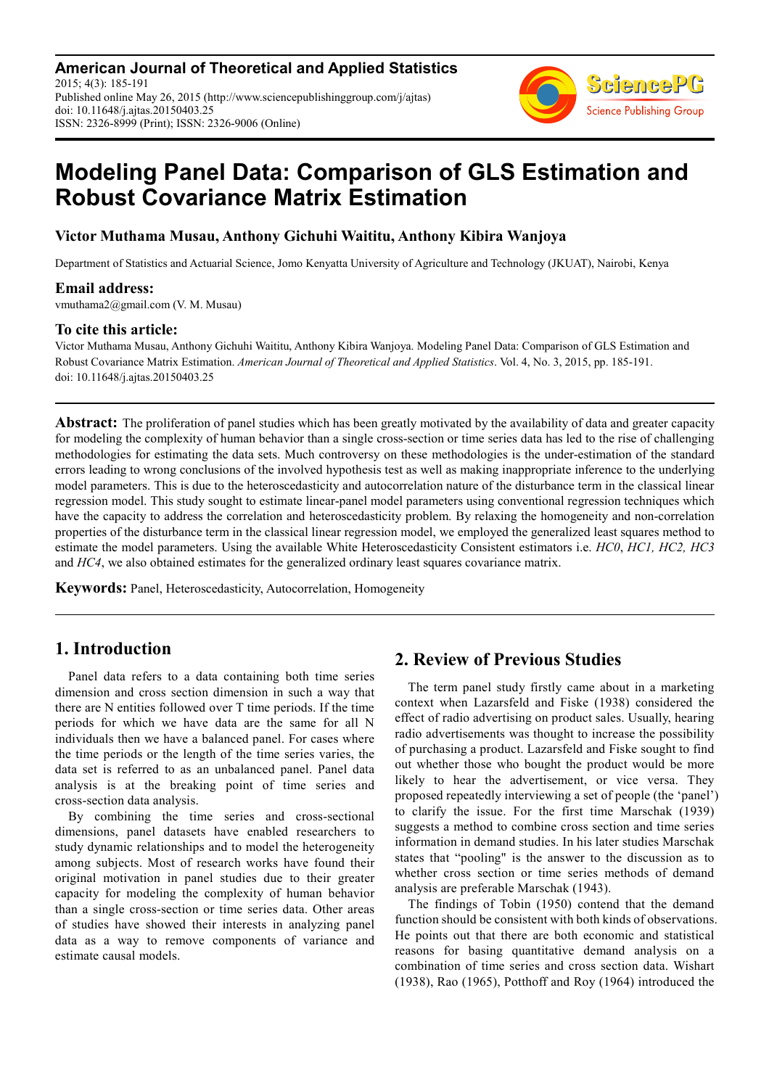**American Journal of Theoretical and Applied Statistics** 2015; 4(3): 185-191 Published online May 26, 2015 (http://www.sciencepublishinggroup.com/j/ajtas) doi: 10.11648/j.ajtas.20150403.25 ISSN: 2326-8999 (Print); ISSN: 2326-9006 (Online)



# **Modeling Panel Data: Comparison of GLS Estimation and Robust Covariance Matrix Estimation**

### **Victor Muthama Musau, Anthony Gichuhi Waititu, Anthony Kibira Wanjoya**

Department of Statistics and Actuarial Science, Jomo Kenyatta University of Agriculture and Technology (JKUAT), Nairobi, Kenya

#### **Email address:**

vmuthama2@gmail.com (V. M. Musau)

### **To cite this article:**

Victor Muthama Musau, Anthony Gichuhi Waititu, Anthony Kibira Wanjoya. Modeling Panel Data: Comparison of GLS Estimation and Robust Covariance Matrix Estimation. *American Journal of Theoretical and Applied Statistics*. Vol. 4, No. 3, 2015, pp. 185-191. doi: 10.11648/j.ajtas.20150403.25

**Abstract:** The proliferation of panel studies which has been greatly motivated by the availability of data and greater capacity for modeling the complexity of human behavior than a single cross-section or time series data has led to the rise of challenging methodologies for estimating the data sets. Much controversy on these methodologies is the under-estimation of the standard errors leading to wrong conclusions of the involved hypothesis test as well as making inappropriate inference to the underlying model parameters. This is due to the heteroscedasticity and autocorrelation nature of the disturbance term in the classical linear regression model. This study sought to estimate linear-panel model parameters using conventional regression techniques which have the capacity to address the correlation and heteroscedasticity problem. By relaxing the homogeneity and non-correlation properties of the disturbance term in the classical linear regression model, we employed the generalized least squares method to estimate the model parameters. Using the available White Heteroscedasticity Consistent estimators i.e. *HC0*, *HC1, HC2, HC3* and *HC4*, we also obtained estimates for the generalized ordinary least squares covariance matrix.

**Keywords:** Panel, Heteroscedasticity, Autocorrelation, Homogeneity

# **1. Introduction**

Panel data refers to a data containing both time series dimension and cross section dimension in such a way that there are N entities followed over T time periods. If the time periods for which we have data are the same for all N individuals then we have a balanced panel. For cases where the time periods or the length of the time series varies, the data set is referred to as an unbalanced panel. Panel data analysis is at the breaking point of time series and cross-section data analysis.

By combining the time series and cross-sectional dimensions, panel datasets have enabled researchers to study dynamic relationships and to model the heterogeneity among subjects. Most of research works have found their original motivation in panel studies due to their greater capacity for modeling the complexity of human behavior than a single cross-section or time series data. Other areas of studies have showed their interests in analyzing panel data as a way to remove components of variance and estimate causal models.

# **2. Review of Previous Studies**

The term panel study firstly came about in a marketing context when Lazarsfeld and Fiske (1938) considered the effect of radio advertising on product sales. Usually, hearing radio advertisements was thought to increase the possibility of purchasing a product. Lazarsfeld and Fiske sought to find out whether those who bought the product would be more likely to hear the advertisement, or vice versa. They proposed repeatedly interviewing a set of people (the 'panel') to clarify the issue. For the first time Marschak (1939) suggests a method to combine cross section and time series information in demand studies. In his later studies Marschak states that "pooling" is the answer to the discussion as to whether cross section or time series methods of demand analysis are preferable Marschak (1943).

The findings of Tobin (1950) contend that the demand function should be consistent with both kinds of observations. He points out that there are both economic and statistical reasons for basing quantitative demand analysis on a combination of time series and cross section data. Wishart (1938), Rao (1965), Potthoff and Roy (1964) introduced the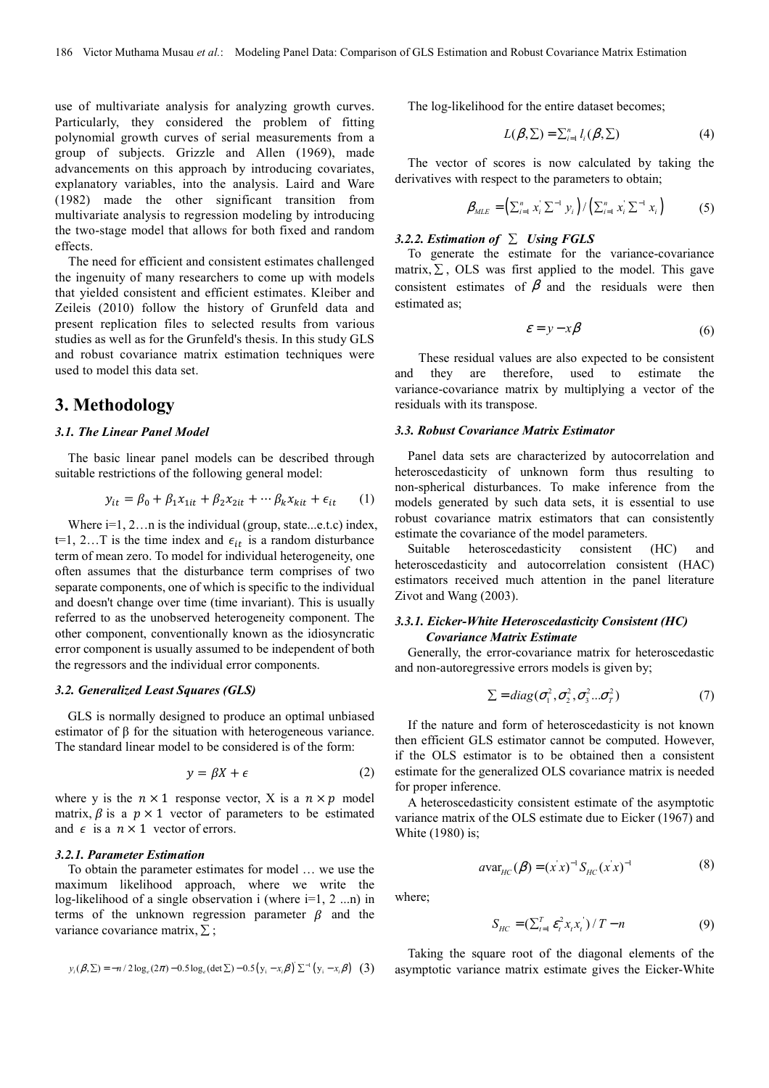use of multivariate analysis for analyzing growth curves. Particularly, they considered the problem of fitting polynomial growth curves of serial measurements from a group of subjects. Grizzle and Allen (1969), made advancements on this approach by introducing covariates, explanatory variables, into the analysis. Laird and Ware (1982) made the other significant transition from multivariate analysis to regression modeling by introducing the two-stage model that allows for both fixed and random effects.

The need for efficient and consistent estimates challenged the ingenuity of many researchers to come up with models that yielded consistent and efficient estimates. Kleiber and Zeileis (2010) follow the history of Grunfeld data and present replication files to selected results from various studies as well as for the Grunfeld's thesis. In this study GLS and robust covariance matrix estimation techniques were used to model this data set.

# **3. Methodology**

#### *3.1. The Linear Panel Model*

The basic linear panel models can be described through suitable restrictions of the following general model:

$$
y_{it} = \beta_0 + \beta_1 x_{1it} + \beta_2 x_{2it} + \cdots \beta_k x_{kit} + \epsilon_{it} \qquad (1)
$$

Where  $i=1, 2, \ldots$  is the individual (group, state...e.t.c) index, t=1, 2... T is the time index and  $\epsilon_{it}$  is a random disturbance term of mean zero. To model for individual heterogeneity, one often assumes that the disturbance term comprises of two separate components, one of which is specific to the individual and doesn't change over time (time invariant). This is usually referred to as the unobserved heterogeneity component. The other component, conventionally known as the idiosyncratic error component is usually assumed to be independent of both the regressors and the individual error components.

#### *3.2. Generalized Least Squares (GLS)*

GLS is normally designed to produce an optimal unbiased estimator of β for the situation with heterogeneous variance. The standard linear model to be considered is of the form:

$$
y = \beta X + \epsilon \tag{2}
$$

where y is the  $n \times 1$  response vector, X is a  $n \times p$  model matrix,  $\beta$  is a  $p \times 1$  vector of parameters to be estimated and  $\epsilon$  is a  $n \times 1$  vector of errors.

#### *3.2.1. Parameter Estimation*

To obtain the parameter estimates for model … we use the maximum likelihood approach, where we write the log-likelihood of a single observation i (where  $i=1, 2, \ldots n$ ) in terms of the unknown regression parameter  $\beta$  and the variance covariance matrix,  $\Sigma$ ;

$$
y_i(\beta, \Sigma) = -n/2 \log_e(2\pi) - 0.5 \log_e(\det \Sigma) - 0.5(y_i - x_i \beta) \Sigma^{-1}(y_i - x_i \beta)
$$
 (3)

The log-likelihood for the entire dataset becomes;

$$
L(\beta, \Sigma) = \sum_{i=1}^{n} l_i(\beta, \Sigma)
$$
 (4)

The vector of scores is now calculated by taking the derivatives with respect to the parameters to obtain;

$$
\beta_{MLE} = (\sum_{i=1}^{n} x_i \sum^{-1} y_i) / (\sum_{i=1}^{n} x_i \sum^{-1} x_i)
$$
 (5)

# *3.2.2. Estimation of* ∑ *Using FGLS*

To generate the estimate for the variance-covariance matrix,  $\Sigma$ , OLS was first applied to the model. This gave consistent estimates of  $\beta$  and the residuals were then estimated as;

$$
\varepsilon = y - x\beta \tag{6}
$$

These residual values are also expected to be consistent they are therefore, used to estimate the variance-covariance matrix by multiplying a vector of the residuals with its transpose.

#### *3.3. Robust Covariance Matrix Estimator*

Panel data sets are characterized by autocorrelation and heteroscedasticity of unknown form thus resulting to non-spherical disturbances. To make inference from the models generated by such data sets, it is essential to use robust covariance matrix estimators that can consistently estimate the covariance of the model parameters.

Suitable heteroscedasticity consistent (HC) and heteroscedasticity and autocorrelation consistent (HAC) estimators received much attention in the panel literature Zivot and Wang (2003).

#### *3.3.1. Eicker-White Heteroscedasticity Consistent (HC) Covariance Matrix Estimate*

Generally, the error-covariance matrix for heteroscedastic and non-autoregressive errors models is given by;

$$
\Sigma = diag(\sigma_1^2, \sigma_2^2, \sigma_3^2...\sigma_T^2)
$$
 (7)

If the nature and form of heteroscedasticity is not known then efficient GLS estimator cannot be computed. However, if the OLS estimator is to be obtained then a consistent estimate for the generalized OLS covariance matrix is needed for proper inference.

A heteroscedasticity consistent estimate of the asymptotic variance matrix of the OLS estimate due to Eicker (1967) and White (1980) is;

$$
a_{\text{Var}_{HC}}(\beta) = (x \, x)^{-1} S_{\text{HC}}(x \, x)^{-1} \tag{8}
$$

where;

$$
S_{HC} = (\sum_{t=1}^{T} \varepsilon_t^2 x_t x_t^{\prime}) / T - n \tag{9}
$$

Taking the square root of the diagonal elements of the asymptotic variance matrix estimate gives the Eicker-White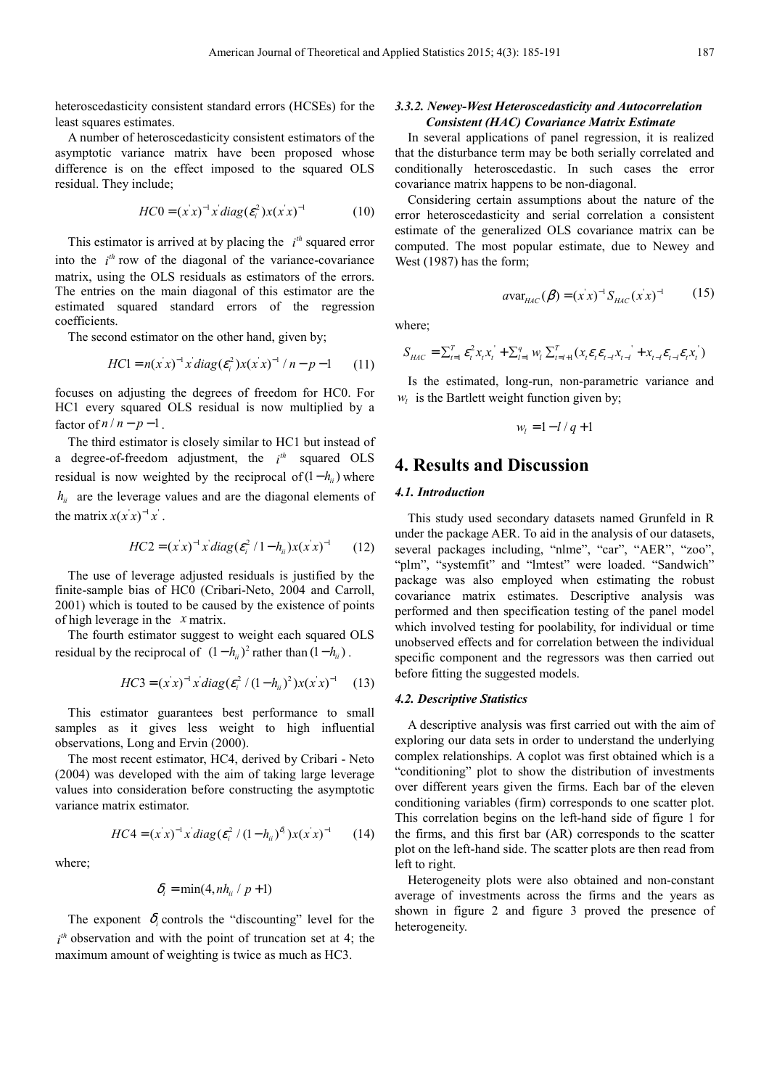heteroscedasticity consistent standard errors (HCSEs) for the least squares estimates.

A number of heteroscedasticity consistent estimators of the asymptotic variance matrix have been proposed whose difference is on the effect imposed to the squared OLS residual. They include;

$$
HC0 = (x^2 - x^2)^{-1} x' diag(\varepsilon_i^2) x (x^2 - x^2)^{-1}
$$
 (10)

This estimator is arrived at by placing the  $i^{th}$  squared error into the  $i<sup>th</sup>$  row of the diagonal of the variance-covariance matrix, using the OLS residuals as estimators of the errors. The entries on the main diagonal of this estimator are the estimated squared standard errors of the regression coefficients.

The second estimator on the other hand, given by;

$$
HC1 = n(x'x)^{-1} x' diag(\varepsilon_i^2) x(x'x)^{-1} / n - p - 1 \qquad (11)
$$

focuses on adjusting the degrees of freedom for HC0. For HC1 every squared OLS residual is now multiplied by a factor of  $n / n - p - 1$ .

The third estimator is closely similar to HC1 but instead of a degree-of-freedom adjustment, the  $i^{th}$  squared OLS residual is now weighted by the reciprocal of  $(1 - h_{ii})$  where  $h_{ii}$  are the leverage values and are the diagonal elements of the matrix  $x(x|x)^{-1}x$ .

$$
HC2 = (x^2 - x^2)^{-1} x \, diag(\varepsilon_i^2 / 1 - h_{ii}) x (x^2 - x^2)^{-1}
$$
 (12)

The use of leverage adjusted residuals is justified by the finite-sample bias of HC0 (Cribari-Neto, 2004 and Carroll, 2001) which is touted to be caused by the existence of points of high leverage in the *x* matrix.

The fourth estimator suggest to weight each squared OLS residual by the reciprocal of  $(1 - h_{ii})^2$  rather than  $(1 - h_{ii})$ .

$$
HC3 = (x^2 - x^2)^{-1} x \, diag(\varepsilon_i^2 / (1 - h_{ii})^2) x (x^2 - x^2)^{-1}
$$
 (13)

This estimator guarantees best performance to small samples as it gives less weight to high influential observations, Long and Ervin (2000).

The most recent estimator, HC4, derived by Cribari - Neto (2004) was developed with the aim of taking large leverage values into consideration before constructing the asymptotic variance matrix estimator.

$$
HC4 = (x^2 - x^2)^{-1} x' diag(\varepsilon_i^2 / (1 - h_{ii})^{\delta_i}) x(x^2 - x^2)
$$
 (14)

where;

$$
\delta_i = \min(4, nh_{ii} / p + 1)
$$

The exponent  $\delta_i$  controls the "discounting" level for the  $i<sup>th</sup>$  observation and with the point of truncation set at 4; the maximum amount of weighting is twice as much as HC3.

#### *3.3.2. Newey-West Heteroscedasticity and Autocorrelation Consistent (HAC) Covariance Matrix Estimate*

In several applications of panel regression, it is realized that the disturbance term may be both serially correlated and conditionally heteroscedastic. In such cases the error covariance matrix happens to be non-diagonal.

Considering certain assumptions about the nature of the error heteroscedasticity and serial correlation a consistent estimate of the generalized OLS covariance matrix can be computed. The most popular estimate, due to Newey and West (1987) has the form;

$$
a_{\text{Var}_{HAC}}(\beta) = (x^{\prime} x)^{-1} S_{HAC}(x^{\prime} x)^{-1} \qquad (15)
$$

where;

$$
S_{HAC} = \sum_{t=1}^{T} \mathcal{E}_t^2 x_t x_t + \sum_{l=1}^{q} w_l \sum_{t=l+1}^{T} (x_t \mathcal{E}_t \mathcal{E}_{t-l} x_{t-l} + x_{t-l} \mathcal{E}_{t-l} \mathcal{E}_t x_t)
$$

Is the estimated, long-run, non-parametric variance and  $w_l$  is the Bartlett weight function given by;

$$
w_l = 1 - l / q + 1
$$

### **4. Results and Discussion**

#### *4.1. Introduction*

This study used secondary datasets named Grunfeld in R under the package AER. To aid in the analysis of our datasets, several packages including, "nlme", "car", "AER", "zoo", "plm", "systemfit" and "lmtest" were loaded. "Sandwich" package was also employed when estimating the robust covariance matrix estimates. Descriptive analysis was performed and then specification testing of the panel model which involved testing for poolability, for individual or time unobserved effects and for correlation between the individual specific component and the regressors was then carried out before fitting the suggested models.

#### *4.2. Descriptive Statistics*

A descriptive analysis was first carried out with the aim of exploring our data sets in order to understand the underlying complex relationships. A coplot was first obtained which is a "conditioning" plot to show the distribution of investments over different years given the firms. Each bar of the eleven conditioning variables (firm) corresponds to one scatter plot. This correlation begins on the left-hand side of figure 1 for the firms, and this first bar (AR) corresponds to the scatter plot on the left-hand side. The scatter plots are then read from left to right.

Heterogeneity plots were also obtained and non-constant average of investments across the firms and the years as shown in figure 2 and figure 3 proved the presence of heterogeneity.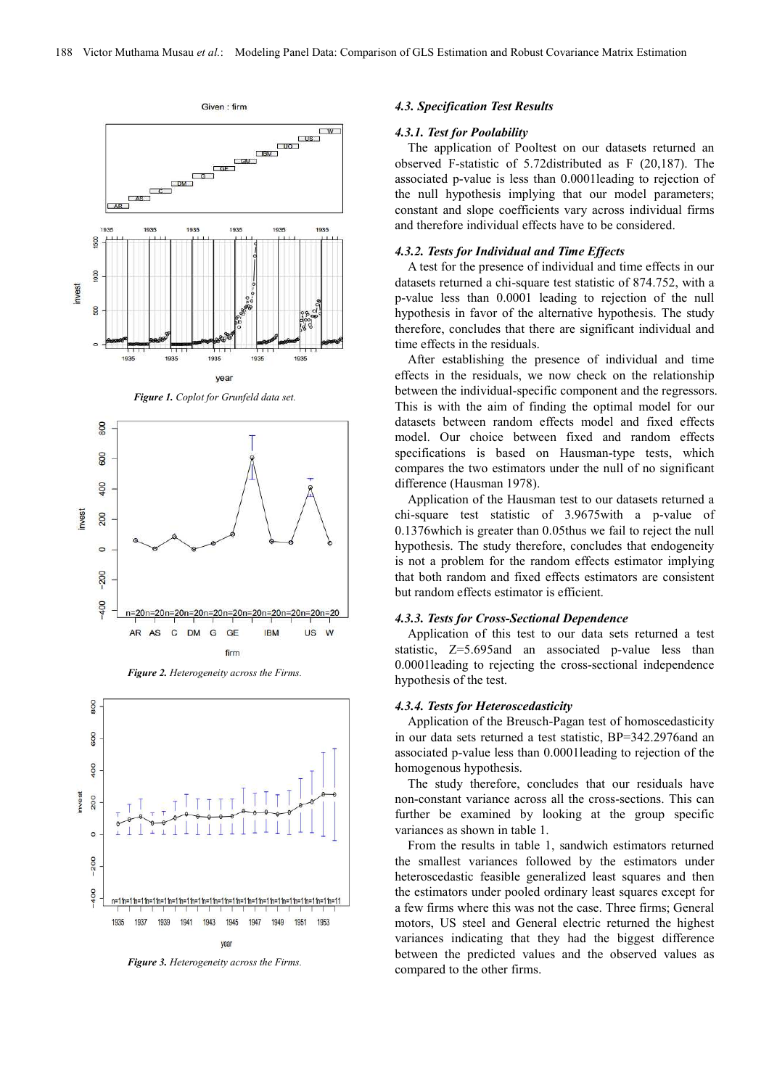

*Figure 1. Coplot for Grunfeld data set.* 





*Figure 2. Heterogeneity across the Firms.* 

*Figure 3. Heterogeneity across the Firms.* 

#### *4.3. Specification Test Results*

#### *4.3.1. Test for Poolability*

The application of Pooltest on our datasets returned an observed F-statistic of 5.72distributed as F (20,187). The associated p-value is less than 0.0001leading to rejection of the null hypothesis implying that our model parameters; constant and slope coefficients vary across individual firms and therefore individual effects have to be considered.

#### *4.3.2. Tests for Individual and Time Effects*

A test for the presence of individual and time effects in our datasets returned a chi-square test statistic of 874.752, with a p-value less than 0.0001 leading to rejection of the null hypothesis in favor of the alternative hypothesis. The study therefore, concludes that there are significant individual and time effects in the residuals.

After establishing the presence of individual and time effects in the residuals, we now check on the relationship between the individual-specific component and the regressors. This is with the aim of finding the optimal model for our datasets between random effects model and fixed effects model. Our choice between fixed and random effects specifications is based on Hausman-type tests, which compares the two estimators under the null of no significant difference (Hausman 1978).

Application of the Hausman test to our datasets returned a chi-square test statistic of 3.9675with a p-value of 0.1376which is greater than 0.05thus we fail to reject the null hypothesis. The study therefore, concludes that endogeneity is not a problem for the random effects estimator implying that both random and fixed effects estimators are consistent but random effects estimator is efficient.

#### *4.3.3. Tests for Cross-Sectional Dependence*

Application of this test to our data sets returned a test statistic, Z=5.695and an associated p-value less than 0.0001leading to rejecting the cross-sectional independence hypothesis of the test.

#### *4.3.4. Tests for Heteroscedasticity*

Application of the Breusch-Pagan test of homoscedasticity in our data sets returned a test statistic, BP=342.2976and an associated p-value less than 0.0001leading to rejection of the homogenous hypothesis.

The study therefore, concludes that our residuals have non-constant variance across all the cross-sections. This can further be examined by looking at the group specific variances as shown in table 1.

From the results in table 1, sandwich estimators returned the smallest variances followed by the estimators under heteroscedastic feasible generalized least squares and then the estimators under pooled ordinary least squares except for a few firms where this was not the case. Three firms; General motors, US steel and General electric returned the highest variances indicating that they had the biggest difference between the predicted values and the observed values as compared to the other firms.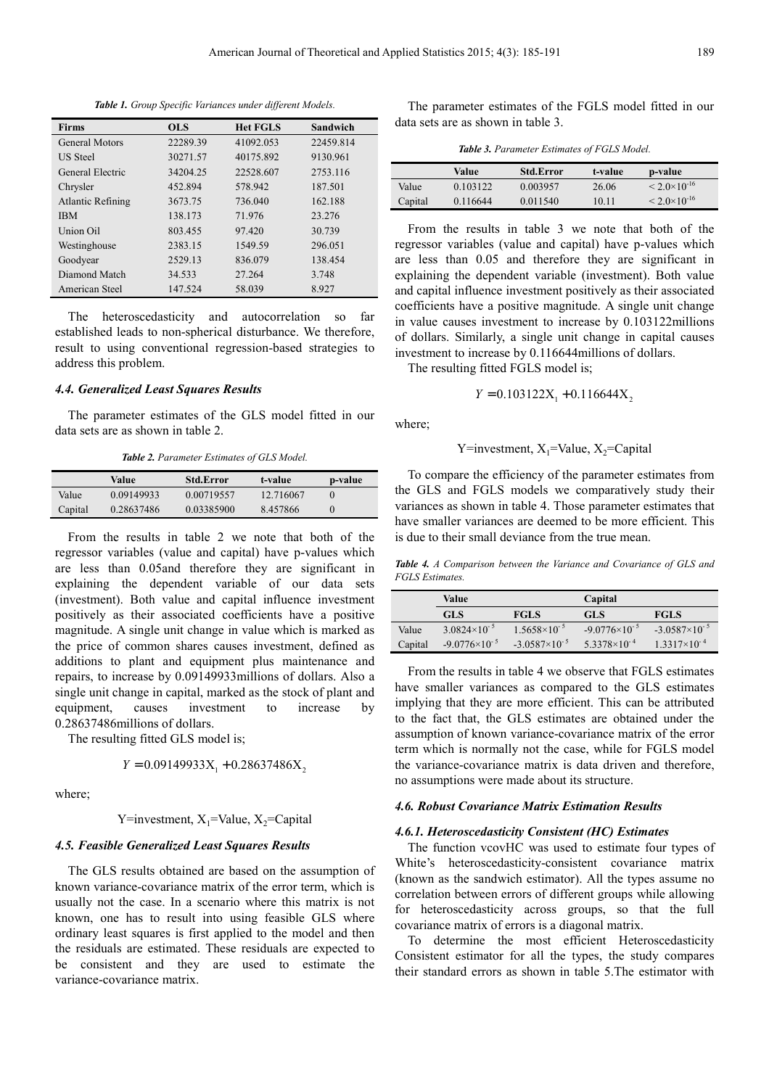*Table 1. Group Specific Variances under different Models.*

| <b>Firms</b>             | <b>OLS</b> | <b>Het FGLS</b> | Sandwich  |
|--------------------------|------------|-----------------|-----------|
| <b>General Motors</b>    | 22289.39   | 41092.053       | 22459.814 |
| <b>US</b> Steel          | 30271.57   | 40175.892       | 9130.961  |
| General Electric         | 34204.25   | 22528.607       | 2753.116  |
| Chrysler                 | 452.894    | 578.942         | 187.501   |
| <b>Atlantic Refining</b> | 3673.75    | 736.040         | 162.188   |
| <b>IBM</b>               | 138.173    | 71.976          | 23.276    |
| Union Oil                | 803.455    | 97.420          | 30.739    |
| Westinghouse             | 2383.15    | 1549.59         | 296.051   |
| Goodyear                 | 2529.13    | 836.079         | 138.454   |
| Diamond Match            | 34.533     | 27.264          | 3.748     |
| American Steel           | 147.524    | 58.039          | 8.927     |

The heteroscedasticity and autocorrelation so far established leads to non-spherical disturbance. We therefore, result to using conventional regression-based strategies to address this problem.

#### *4.4. Generalized Least Squares Results*

The parameter estimates of the GLS model fitted in our data sets are as shown in table 2.

*Table 2. Parameter Estimates of GLS Model.*

|         | Value      | <b>Std.Error</b> | t-value   | p-value |
|---------|------------|------------------|-----------|---------|
| Value   | 0.09149933 | 0.00719557       | 12.716067 |         |
| Capital | 0.28637486 | 0.03385900       | 8.457866  |         |

From the results in table 2 we note that both of the regressor variables (value and capital) have p-values which are less than 0.05and therefore they are significant in explaining the dependent variable of our data sets (investment). Both value and capital influence investment positively as their associated coefficients have a positive magnitude. A single unit change in value which is marked as the price of common shares causes investment, defined as additions to plant and equipment plus maintenance and repairs, to increase by 0.09149933millions of dollars. Also a single unit change in capital, marked as the stock of plant and equipment, causes investment to increase by 0.28637486millions of dollars.

The resulting fitted GLS model is;

 $Y = 0.09149933X_1 + 0.28637486X_2$ 

where;

Y=investment,  $X_1$ =Value,  $X_2$ =Capital

#### *4.5. Feasible Generalized Least Squares Results*

The GLS results obtained are based on the assumption of known variance-covariance matrix of the error term, which is usually not the case. In a scenario where this matrix is not known, one has to result into using feasible GLS where ordinary least squares is first applied to the model and then the residuals are estimated. These residuals are expected to be consistent and they are used to estimate the variance-covariance matrix.

The parameter estimates of the FGLS model fitted in our data sets are as shown in table 3.

*Table 3. Parameter Estimates of FGLS Model.*

|         | Value    | <b>Std.Error</b> | t-value | p-value                 |
|---------|----------|------------------|---------|-------------------------|
| Value   | 0.103122 | 0.003957         | 26.06   | $< 2.0 \times 10^{-16}$ |
| Capital | 0.116644 | 0.011540         | 10.11   | $< 2.0 \times 10^{-16}$ |

From the results in table 3 we note that both of the regressor variables (value and capital) have p-values which are less than 0.05 and therefore they are significant in explaining the dependent variable (investment). Both value and capital influence investment positively as their associated coefficients have a positive magnitude. A single unit change in value causes investment to increase by 0.103122millions of dollars. Similarly, a single unit change in capital causes investment to increase by 0.116644millions of dollars.

The resulting fitted FGLS model is;

$$
Y = 0.103122X_1 + 0.116644X_2
$$

where;

Y=investment,  $X_1$ =Value,  $X_2$ =Capital

To compare the efficiency of the parameter estimates from the GLS and FGLS models we comparatively study their variances as shown in table 4. Those parameter estimates that have smaller variances are deemed to be more efficient. This is due to their small deviance from the true mean.

*Table 4. A Comparison between the Variance and Covariance of GLS and FGLS Estimates.*

|         | Value                  |                        | Capital                |                        |
|---------|------------------------|------------------------|------------------------|------------------------|
|         | <b>GLS</b>             | <b>FGLS</b>            | <b>GLS</b>             | <b>FGLS</b>            |
| Value   | $3.0824\times10^{-5}$  | $1.5658\times10^{-5}$  | $-9.0776\times10^{-5}$ | $-3.0587\times10^{-5}$ |
| Capital | $-9.0776\times10^{-5}$ | $-3.0587\times10^{-5}$ | $5.3378\times10^{-4}$  | $1.3317\times10^{-4}$  |

From the results in table 4 we observe that FGLS estimates have smaller variances as compared to the GLS estimates implying that they are more efficient. This can be attributed to the fact that, the GLS estimates are obtained under the assumption of known variance-covariance matrix of the error term which is normally not the case, while for FGLS model the variance-covariance matrix is data driven and therefore, no assumptions were made about its structure.

#### *4.6. Robust Covariance Matrix Estimation Results*

#### *4.6.1. Heteroscedasticity Consistent (HC) Estimates*

The function vcovHC was used to estimate four types of White's heteroscedasticity-consistent covariance matrix (known as the sandwich estimator). All the types assume no correlation between errors of different groups while allowing for heteroscedasticity across groups, so that the full covariance matrix of errors is a diagonal matrix.

To determine the most efficient Heteroscedasticity Consistent estimator for all the types, the study compares their standard errors as shown in table 5.The estimator with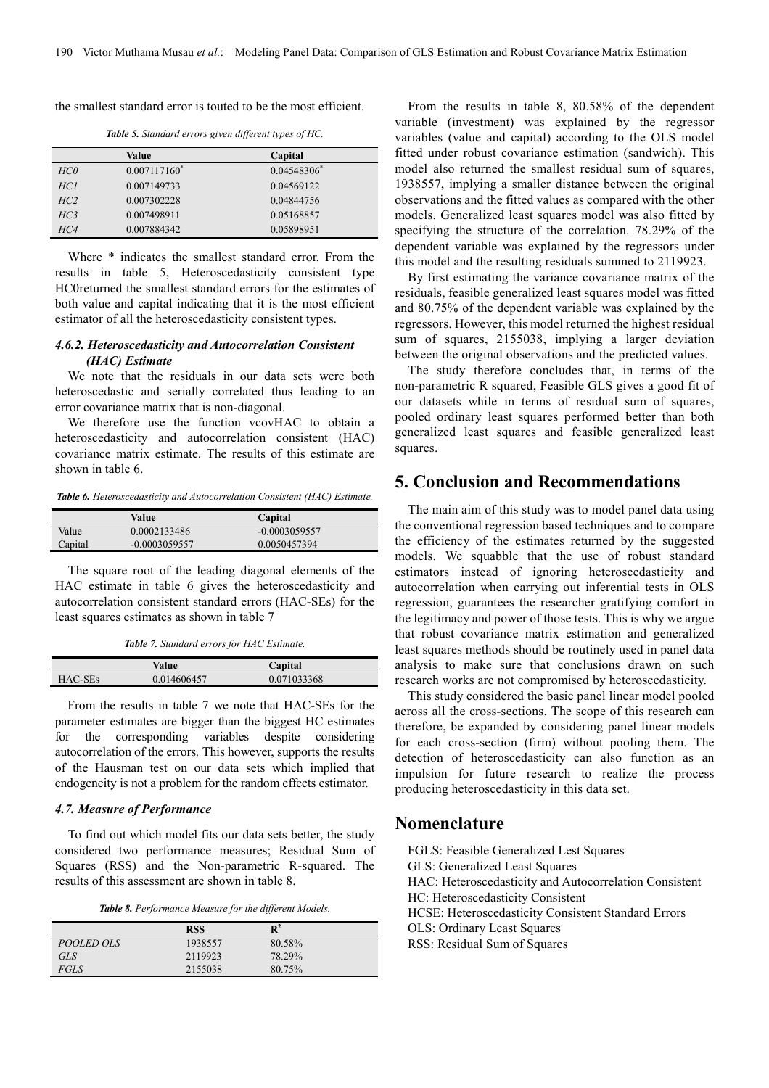the smallest standard error is touted to be the most efficient.

*Table 5. Standard errors given different types of HC.*

|                 | Value           | Capital    |
|-----------------|-----------------|------------|
| HCO             | $0.007117160^*$ | 0.04548306 |
| HC <sub>1</sub> | 0.007149733     | 0.04569122 |
| HC <sub>2</sub> | 0.007302228     | 0.04844756 |
| HC <sub>3</sub> | 0.007498911     | 0.05168857 |
| HC4             | 0.007884342     | 0.05898951 |

Where \* indicates the smallest standard error. From the results in table 5, Heteroscedasticity consistent type HC0returned the smallest standard errors for the estimates of both value and capital indicating that it is the most efficient estimator of all the heteroscedasticity consistent types.

#### *4.6.2. Heteroscedasticity and Autocorrelation Consistent (HAC) Estimate*

We note that the residuals in our data sets were both heteroscedastic and serially correlated thus leading to an error covariance matrix that is non-diagonal.

We therefore use the function vcovHAC to obtain a heteroscedasticity and autocorrelation consistent (HAC) covariance matrix estimate. The results of this estimate are shown in table 6.

*Table 6. Heteroscedasticity and Autocorrelation Consistent (HAC) Estimate.*

|         | Value           | Capital         |  |
|---------|-----------------|-----------------|--|
| Value   | 0.0002133486    | $-0.0003059557$ |  |
| Capital | $-0.0003059557$ | 0.0050457394    |  |

The square root of the leading diagonal elements of the HAC estimate in table 6 gives the heteroscedasticity and autocorrelation consistent standard errors (HAC-SEs) for the least squares estimates as shown in table 7

*Table 7. Standard errors for HAC Estimate.*

|         | Value       | Capital     |  |
|---------|-------------|-------------|--|
| HAC-SEs | 0.014606457 | 0.071033368 |  |

From the results in table 7 we note that HAC-SEs for the parameter estimates are bigger than the biggest HC estimates for the corresponding variables despite considering autocorrelation of the errors. This however, supports the results of the Hausman test on our data sets which implied that endogeneity is not a problem for the random effects estimator.

#### *4.7. Measure of Performance*

To find out which model fits our data sets better, the study considered two performance measures; Residual Sum of Squares (RSS) and the Non-parametric R-squared. The results of this assessment are shown in table 8.

*Table 8. Performance Measure for the different Models.*

|                   | RSS     | $\mathbf{R}^2$ |
|-------------------|---------|----------------|
| <i>POOLED OLS</i> | 1938557 | 80.58%         |
| GLS               | 2119923 | 78.29%         |
| FGLS              | 2155038 | 80.75%         |

From the results in table 8, 80.58% of the dependent variable (investment) was explained by the regressor variables (value and capital) according to the OLS model fitted under robust covariance estimation (sandwich). This model also returned the smallest residual sum of squares, 1938557, implying a smaller distance between the original observations and the fitted values as compared with the other models. Generalized least squares model was also fitted by specifying the structure of the correlation. 78.29% of the dependent variable was explained by the regressors under this model and the resulting residuals summed to 2119923.

By first estimating the variance covariance matrix of the residuals, feasible generalized least squares model was fitted and 80.75% of the dependent variable was explained by the regressors. However, this model returned the highest residual sum of squares, 2155038, implying a larger deviation between the original observations and the predicted values.

The study therefore concludes that, in terms of the non-parametric R squared, Feasible GLS gives a good fit of our datasets while in terms of residual sum of squares, pooled ordinary least squares performed better than both generalized least squares and feasible generalized least squares.

# **5. Conclusion and Recommendations**

The main aim of this study was to model panel data using the conventional regression based techniques and to compare the efficiency of the estimates returned by the suggested models. We squabble that the use of robust standard estimators instead of ignoring heteroscedasticity and autocorrelation when carrying out inferential tests in OLS regression, guarantees the researcher gratifying comfort in the legitimacy and power of those tests. This is why we argue that robust covariance matrix estimation and generalized least squares methods should be routinely used in panel data analysis to make sure that conclusions drawn on such research works are not compromised by heteroscedasticity.

This study considered the basic panel linear model pooled across all the cross-sections. The scope of this research can therefore, be expanded by considering panel linear models for each cross-section (firm) without pooling them. The detection of heteroscedasticity can also function as an impulsion for future research to realize the process producing heteroscedasticity in this data set.

#### **Nomenclature**

| FGLS: Feasible Generalized Lest Squares                |
|--------------------------------------------------------|
| GLS: Generalized Least Squares                         |
| HAC: Heteroscedasticity and Autocorrelation Consistent |
| HC: Heteroscedasticity Consistent                      |
| HCSE: Heteroscedasticity Consistent Standard Errors    |
| <b>OLS: Ordinary Least Squares</b>                     |
| RSS: Residual Sum of Squares                           |
|                                                        |